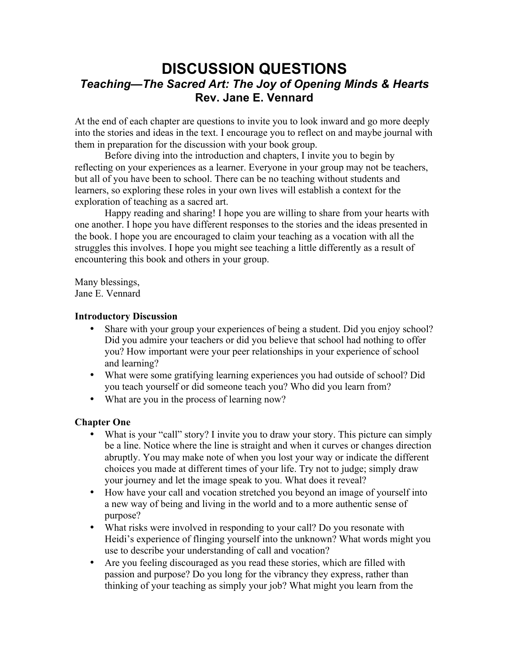# **DISCUSSION QUESTIONS** *Teaching—The Sacred Art: The Joy of Opening Minds & Hearts* **Rev. Jane E. Vennard**

At the end of each chapter are questions to invite you to look inward and go more deeply into the stories and ideas in the text. I encourage you to reflect on and maybe journal with them in preparation for the discussion with your book group.

Before diving into the introduction and chapters, I invite you to begin by reflecting on your experiences as a learner. Everyone in your group may not be teachers, but all of you have been to school. There can be no teaching without students and learners, so exploring these roles in your own lives will establish a context for the exploration of teaching as a sacred art.

Happy reading and sharing! I hope you are willing to share from your hearts with one another. I hope you have different responses to the stories and the ideas presented in the book. I hope you are encouraged to claim your teaching as a vocation with all the struggles this involves. I hope you might see teaching a little differently as a result of encountering this book and others in your group.

Many blessings, Jane E. Vennard

#### **Introductory Discussion**

- Share with your group your experiences of being a student. Did you enjoy school? Did you admire your teachers or did you believe that school had nothing to offer you? How important were your peer relationships in your experience of school and learning?
- What were some gratifying learning experiences you had outside of school? Did you teach yourself or did someone teach you? Who did you learn from?
- What are you in the process of learning now?

#### **Chapter One**

- What is your "call" story? I invite you to draw your story. This picture can simply be a line. Notice where the line is straight and when it curves or changes direction abruptly. You may make note of when you lost your way or indicate the different choices you made at different times of your life. Try not to judge; simply draw your journey and let the image speak to you. What does it reveal?
- How have your call and vocation stretched you beyond an image of yourself into a new way of being and living in the world and to a more authentic sense of purpose?
- What risks were involved in responding to your call? Do you resonate with Heidi's experience of flinging yourself into the unknown? What words might you use to describe your understanding of call and vocation?
- Are you feeling discouraged as you read these stories, which are filled with passion and purpose? Do you long for the vibrancy they express, rather than thinking of your teaching as simply your job? What might you learn from the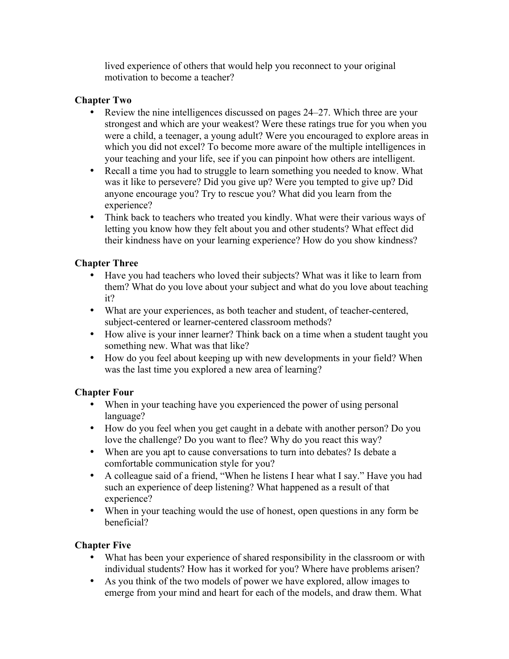lived experience of others that would help you reconnect to your original motivation to become a teacher?

## **Chapter Two**

- Review the nine intelligences discussed on pages 24–27. Which three are your strongest and which are your weakest? Were these ratings true for you when you were a child, a teenager, a young adult? Were you encouraged to explore areas in which you did not excel? To become more aware of the multiple intelligences in your teaching and your life, see if you can pinpoint how others are intelligent.
- Recall a time you had to struggle to learn something you needed to know. What was it like to persevere? Did you give up? Were you tempted to give up? Did anyone encourage you? Try to rescue you? What did you learn from the experience?
- Think back to teachers who treated you kindly. What were their various ways of letting you know how they felt about you and other students? What effect did their kindness have on your learning experience? How do you show kindness?

# **Chapter Three**

- Have you had teachers who loved their subjects? What was it like to learn from them? What do you love about your subject and what do you love about teaching it?
- What are your experiences, as both teacher and student, of teacher-centered, subject-centered or learner-centered classroom methods?
- How alive is your inner learner? Think back on a time when a student taught you something new. What was that like?
- How do you feel about keeping up with new developments in your field? When was the last time you explored a new area of learning?

#### **Chapter Four**

- When in your teaching have you experienced the power of using personal language?
- How do you feel when you get caught in a debate with another person? Do you love the challenge? Do you want to flee? Why do you react this way?
- When are you apt to cause conversations to turn into debates? Is debate a comfortable communication style for you?
- A colleague said of a friend, "When he listens I hear what I say." Have you had such an experience of deep listening? What happened as a result of that experience?
- When in your teaching would the use of honest, open questions in any form be beneficial?

# **Chapter Five**

- What has been your experience of shared responsibility in the classroom or with individual students? How has it worked for you? Where have problems arisen?
- As you think of the two models of power we have explored, allow images to emerge from your mind and heart for each of the models, and draw them. What